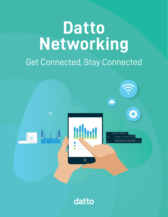# Get Connected, Stay Connected **Datto Networking**



datto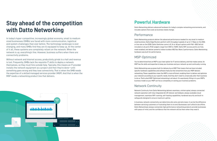In today's hyper-competitive, increasingly global economy, small to medium sized businesses (SMBs) are faced with more communication, logistical and system challenges than ever before. The technology landscape is ever changing, and many SMBs find they are ill equipped to keep up. At the center of it all, these systems are completely reliant on the network. When the network is up, everything's fine. However, business suffers when there are connectivity problems.

Without network and Internet access, productivity grinds to a halt and revenue is lost. Frequently, SMBs lack the requisite IT skills to deploy a network themselves, so they must hire outside help. Typically, this means an IT provider installs the network equipment as a project and then they're done—until something goes wrong and they lose connectivity. That is when the SMB needs the expertise of a skilled managed services provider (MSP). And that is when the MSP needs a networking product line that delivers.



# **Powerful Hardware**

Datto Networking delivers advanced hardware for today's complex networking environments, and includes options that scale as business needs change.

# **Performance**

Datto Networking products deliver the advanced performance needed for any small to medium sized business. Datto Edge Routers perform with throughput speeds of up to 1.7 Gbps on the DNA or line rate on the D200. Datto Switches come in 8, 24 or 48 port options with PoE+ (802.3af/at) included on all ports (PoE budgets range from 55W to 740W). Datto WiFi access points are fully mesh enabled, and deliver powerful indoor/outdoor 802.11ac Wave 2 performance. Datto Networking hardware was built for performance.

## MSP-Optimized

You've determined that an MSP is your best option for IT service delivery, and that makes sense. An MSP has the skills and expertise to keep your business and your network up and continually running.

Datto Networking was purpose-built for delivery by an MSP. That means that we have included specific hardware capabilities and software features that streamline how your MSP delivers networking. These capabilities mean the MSP is more efficient, enabling them to deliver and optimize your network according to your specific needs. And they don't need to unnaturally alter their business to do so. That's what MSP-Optimized networking is all about. It's seamlessly fitting in to your MSP's business model so your MSP can focus completely on solving your business problems.

# Network Continuity

Network Continuity from Datto Networking delivers seamless, uninterrupted, always connected network operation with fully integrated 4G LTE failover and failback, always available cloud management, seamless WiFi roaming, self-healing capabilities, hardened security and built-in safeguards designed to ensure maximum uptime.

In business, network connectivity can determine who wins and who loses. It can be the difference between servicing customers or frustrating them to no end. Businesses can't afford to be offline. Datto Networking's always connected, high performance networking products provide businesses with peace of mind, and the confidence that the network will be there when they need it.

# **Stay ahead of the competition with Datto Networking**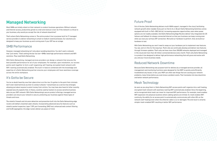### Future Proof

Out of the box, Datto Networking delivers multi-WAN support, managed in the cloud, facilitating network growth when needed. Every port on the 8, 24 or 48 port Datto Networking Switches comes equipped with built-in PoE+ (802.3af/at), increasing expansion opportunities, even when power options are not readily available. And Datto Networking Edge Routers deliver fully integrated 4G LTE failover and failback for always connected Internet so that your business can keep running even when you lose your primary ISP connection. We build our hardware to perform. And, we build our hardware to last.

With Datto Networking you won't need to swap out your hardware just to implement new features. You see, we're in this for the long haul. That's why we continually develop and deliver new features through firmware updates. That's why we have more than 200,000 networks deployed and managed in the cloud and more than 40 million connected devices every month. That's why Datto Networking is a product line designed to deliver high performance networking that will grow and evolve with you and your future business needs.

### Reduced Network Downtime

Because Datto Networking was purpose-built for delivery by a managed services provider, all management and monitoring functions were designed for the MSP to quickly and efficiently troubleshoot any issues. In fact, your MSP can often see things that are causing your network problems, many times before you even know a problem exists. That translates into less downtime and better network performance.

# Mesh Technology

As soon as you plug them in, Datto Networking WiFi access points self-organize into a self-healing, encrypted mesh network with seamless roaming WiFi automatically enabled. Since the beginning, we've recognized what mesh can mean for improved WiFi performance. For example, mesh enables WiFi expansion into physical locations where cabling options are limited. Or, mesh enables WiFi continuity, the ability for an access point to automatically communicate with other APs on the network (self-healing) even when the ethernet cable is cut or damaged. The end result is smarter, simpler mesh-enabled WiFi resulting in better WiFi performance.





# **Managed Networking**

Most SMBs are totally reliant on their network to conduct business operations. Without network and Internet access, productivity grinds to a halt and revenue is lost. So if the network is critical to your business, why would you accept the risk of network downtime?

That's where Datto Networking comes in. The entire product line is purpose-built for IT managed service providers to deliver networking to small to medium sized businesses. Our solutions are designed to keep your business up and running even if your ISP has an outage.

## SMB Performance

However, managed networking isn't only about avoiding downtime. You don't want a network that "just works." That's setting the bar too low—SMBs need high performance network and WiFi solutions. They need Datto Networking.

With Datto Networking, managed services providers can design a network that ensures the best possible performance for all of your employees. For example, upon installation, our access points work together to form a self-organizing, self-healing, encrypted mesh network with WiFi roaming automatically enabled. This built-in feature combined with the knowledge and expertise of a Datto Networking partner ensures your employees will have seamless coverage across the entire workplace.

### It's Gotta be Secure

You've no doubt heard by now that cybercrime is on the rise. It's gotten to the point that criminals don't even need technical acumen to conduct attacks—ransomware as a service has emerged, allowing just about anyone to extort money from victims. You may have also heard of other recently exposed security exploits that, in theory, could be used by hackers to access sensitive business data via your WiFi network. With Datto Networking's secure product offerings, managed service providers can ensure your network is secure, protecting your business against these types of threats and more.

The stateful firewall and intrusion detection and prevention built into the Datto Networking edge routers will defeat unwanted cyber attacks. Incorporating advanced security features such as stateful packet inspection, layer 7 DPI, port forwarding, DMZ host, enhanced web content filtering and VLAN segregation, the edge routers deliver you peace of mind.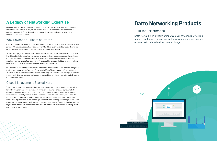# **A Legacy of Networking Expertise**

For more than ten years, the products that comprise Datto Networking have been deployed around the world. With over 200,000 active networks and more than 40 million connected devices every month, Datto Networking brings this long standing legacy of networking expertise to the MSP channel.

### Why Haven't You Heard of Datto?

Datto is a channel only company. That means we only sell our products through our channel of MSP partners. We don't sell direct. That means you won't be able to go online and buy Datto Networking without working with one of our partners. And we do that for good reason.

You see, managing a network requires a lot of skill and technical expertise. Our MSP partners have this skill and technical expertise. Managing a network requires a proactive approach to monitoring your business. Our MSP partners have this proactive approach. Deploying a network requires experience and knowledge to ensure you get the networking products that best suit your business' requirements. Our MSP partners have this experience and knowledge.

So we choose to sell through this highly skilled channel in order to ensure you (the SMB) are getting the best out of our products. Why haven't you heard of Datto? Because you aren't our customer. Your MSP is. But aligning yourself with a Datto Networking partner means you are aligning yourself with the best. It means you are ensuring your network will perform to very high standards. It means your network will work.

## Cloud Management Started Here

Today, cloud management for networking has become table stakes, even though there are still a few industry laggards. Did you know that from the very beginning, the technology behind Datto Networking has been in the cloud. In fact, one of the very first networking cloud management interfaces was written by our own Michael Burmeister-Brown. You see, we recognized from the very early days of WiFi and networking that cloud management was critical. Cloud management simplifies things, and enables remote deployments and troubleshooting. And when your MSP needs to manage or monitor your network, you want them to do so remotely. Every time they have to come to your office, it costs you money. So we have been cloud managed from the very beginning. It just makes good business sense.

# **Datto Networking Products**

### Built for Performance

Datto Networking's intuitive products deliver advanced networking features for today's complex networking environments, and include options that scale as business needs change.

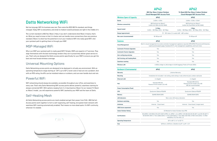# **Datto Networking WiFi**

Not too long ago, WiFi for business was rare. Then came the IEEE 802.11n standard, and things changed. Today, WiFi is everywhere, and small to medium sized businesses are right in the middle of it.

The current standard is 802.11ac Wave 2. Now, if you don't understand what Wave 2 means, that's ok. What you need to know is that it is faster and can handle more connections than any previous standard. Wave 2 is what has the potential to turn your mediocre WiFi into really good WiFi. And your quickest path to getting there is through your MSP.

### MSP-Managed WiFi

Why is an MSP your quickest path to really good WiFi? Simple. MSPs are experts in IT services. They align themselves with the best technology vendors they can to proactively deliver great service to you. That's why we designed the Datto access points specifically for your MSP, to ensure you get the best and most broad wireless coverage.

## Universal Mounting Options

Datto Networking access points are designed to be deployed in virtually any environment. With an operating temperature range starting at -20°C up to 50°C, harsh cold or heat are not a problem. And with an IP55 rating, the APs can be installed indoors or outdoors, and can even handle dust and rain.

### Powerful WiFi

WiFi networking should always be available, accessible throughout your office, and seamless to every user. That's why Datto Networking WiFi access points deliver powerful, seamless roaming for always connected WiFi. With options ranging from 2 x 2 dual band ac Wave 2 to our newest Tri-Band ac Wave 2 model, you will experience powerful WiFi, backed by your MSP and the team at Datto.

# Self-Healing Mesh

All Datto Networking access points are mesh enabled and get their power from PoE+ (802.3af/at). Access points work together to form a self-organizing, self-healing, encrypted mesh network with seamless WiFi roaming automatically enabled. That means no more dead spots. It's WiFi continuity, wherever it's needed.



### **AP42**

**802.11ac Wave 2 Indoor/Outdoor Cloud-Managed WiFi Access Point**

### **AP62**

### **Tri-Band 802.11ac Wave 2 Indoor/Outdoor Cloud-Managed WiFi Access Point**

|                                                                      | <b>AP62</b>                                                                                                                                                                |  |  |  |
|----------------------------------------------------------------------|----------------------------------------------------------------------------------------------------------------------------------------------------------------------------|--|--|--|
| Lifetime Warranty                                                    |                                                                                                                                                                            |  |  |  |
|                                                                      | luded: t-rail ceiling, solid ceiling or wall, ethernet jack, outdoor wall/pole                                                                                             |  |  |  |
| oit                                                                  | 2 x Gigabit                                                                                                                                                                |  |  |  |
| 12.3af.<br>de A, B, A+B)                                             | Standard 802.3af/at.<br>Passive 18-24V (mode A, B, A+B)<br>802.3at recommended                                                                                             |  |  |  |
|                                                                      | <b>14W</b>                                                                                                                                                                 |  |  |  |
| ta IPQ4018                                                           | Qualcomm Dakota IPQ4019                                                                                                                                                    |  |  |  |
| 1DDR3                                                                | 256MB DRAM DDR3                                                                                                                                                            |  |  |  |
| Nine-color LED status indication                                     |                                                                                                                                                                            |  |  |  |
|                                                                      | Yes                                                                                                                                                                        |  |  |  |
| al-band                                                              | Internal - 2 dual-band, 2 single-band                                                                                                                                      |  |  |  |
|                                                                      | Yes                                                                                                                                                                        |  |  |  |
| CE Marked for Indoor/Outdoor Use, IP55                               |                                                                                                                                                                            |  |  |  |
| 246(5GHz), FCC Pat 15 B, C, E                                        | 11 (SAR & MPE), UL 60950-1, cUL 60950-1, EN 300.328, EN 301.489-1 and EN 301.489-17,<br>3(2.4GHz) +C-Tick 4268 (5GHz), C-Tick 3548, ICES-003, IC RSS-247(2.4GHz) + IC RSS- |  |  |  |
| $-20^{\circ}$ to 50 $^{\circ}$ C (-4 $^{\circ}$ to 122 $^{\circ}$ F) |                                                                                                                                                                            |  |  |  |
|                                                                      |                                                                                                                                                                            |  |  |  |

|                                      | 0000 PRINTERS THE POOCSS FOILD                                                                                                                                                                                                                                     | 0000 Planugua IIII Provess Polit                                               |  |  |
|--------------------------------------|--------------------------------------------------------------------------------------------------------------------------------------------------------------------------------------------------------------------------------------------------------------------|--------------------------------------------------------------------------------|--|--|
| <b>Wireless Specs &amp; Capacity</b> | <b>AP42</b><br><b>AP62</b>                                                                                                                                                                                                                                         |                                                                                |  |  |
| <b>Bands</b>                         | $2.4$ GHz + 5 GHz                                                                                                                                                                                                                                                  | $2.4$ GHz + 5 GHz + 5 GHz*                                                     |  |  |
| <b>Wireless connectivity</b>         | 802.11a/b/g/n/ac Wave 2<br>2.4GHz 2x2, 5GHz 2x2 MU-MIMO                                                                                                                                                                                                            | 802.11a/b/g/n/ac Wave 2<br>2.4GHz 2x2, Dual 5GHz 2x2 MU-MIMO                   |  |  |
| Speed (rated)                        | 1.2 Gbps<br>2.4GHz - 300 Mbps, 5GHz - 867 Mbps                                                                                                                                                                                                                     | 2 Gbps<br>2.4GHz - 300 Mbps, 5GHz - 867 Mbps, 5GHz - 867 Mbps                  |  |  |
| Range (approximate)                  | 75' - 150' indoor (3-4 walls) 400' - 600' outdoor                                                                                                                                                                                                                  |                                                                                |  |  |
| Max users (recommended)              | 50-100 per AP<br>75-150 per AP                                                                                                                                                                                                                                     |                                                                                |  |  |
| <b>Features</b>                      | <b>AP42</b><br><b>AP62</b>                                                                                                                                                                                                                                         |                                                                                |  |  |
| <b>Cloud Management</b>              | Built-in cloud management (no onsite controller/management appliance required), WPA/WPA2 Personal and Enterprise,<br>captive portal/splash pages, Facebook Wi-Fi, user management capabilities, and much more.                                                     |                                                                                |  |  |
| <b>Automatic Firmware Upgrades</b>   | Yes                                                                                                                                                                                                                                                                | Yes                                                                            |  |  |
| <b>Automatic Feature Upgrades</b>    | Yes                                                                                                                                                                                                                                                                | Yes                                                                            |  |  |
| Zero config plug and play            | Yes                                                                                                                                                                                                                                                                | Yes                                                                            |  |  |
| Self-forming, self-healing Mesh      | Yes                                                                                                                                                                                                                                                                | Yes                                                                            |  |  |
| <b>Seamless roaming</b>              | Yes                                                                                                                                                                                                                                                                | Yes                                                                            |  |  |
| <b>Wireless LAN</b>                  | 4 SSIDs, bridge to LAN, bridge to VLAN (tagging), Public & Private SSIDs                                                                                                                                                                                           |                                                                                |  |  |
| <b>Hardware &amp; Environmental</b>  | <b>AP42</b>                                                                                                                                                                                                                                                        | <b>AP62</b>                                                                    |  |  |
| <b>Warranty</b>                      | Lifetime Warranty                                                                                                                                                                                                                                                  |                                                                                |  |  |
| <b>Mounting</b>                      | Installation kit included: t-rail ceiling, solid ceiling or wall, ethernet jack, outdoor wall/pole                                                                                                                                                                 |                                                                                |  |  |
| <b>Ethernet/LAN</b>                  | 2 x Gigabit                                                                                                                                                                                                                                                        | 2 x Gigabit                                                                    |  |  |
| <b>PoE</b>                           | Standard 802.3af.<br>Passive 18-24V (mode A, B, A+B)                                                                                                                                                                                                               | Standard 802.3af/at,<br>Passive 18-24V (mode A, B, A+B)<br>802.3at recommended |  |  |
| <b>Power Consumption (Peak)</b>      | <b>12W</b>                                                                                                                                                                                                                                                         | 14W                                                                            |  |  |
| <b>CPU</b>                           | Qualcomm Dakota IPQ4018                                                                                                                                                                                                                                            | Qualcomm Dakota IPQ4019                                                        |  |  |
| Memory                               | 256MB DRAM DDR3                                                                                                                                                                                                                                                    | 256MB DRAM DDR3                                                                |  |  |
| <b>LED Indicators</b>                | Nine-color LED status indication                                                                                                                                                                                                                                   |                                                                                |  |  |
| <b>Hardware watchdog</b>             | Yes                                                                                                                                                                                                                                                                | Yes                                                                            |  |  |
| <b>Antennas</b>                      | Internal - 2 dual-band                                                                                                                                                                                                                                             | Internal - 2 dual-band, 2 single-band                                          |  |  |
| USB (future expansion)               | Yes                                                                                                                                                                                                                                                                | Yes                                                                            |  |  |
| <b>Indoor/Outdoor Rating</b>         | CE Marked for Indoor/Outdoor Use, IP55                                                                                                                                                                                                                             |                                                                                |  |  |
| <b>Certifications</b>                | EN 60950-1, EN 55032, EN 62311 (SAR & MPE), UL 60950-1, cUL 60950-1, EN 300.328, EN 301.489-1 and EN 301.489-17,<br>EN 301.893, RCM, C-Tick 4268(2.4GHz) +C-Tick 4268 (5GHz), C-Tick 3548, ICES-003, IC RSS-247(2.4GHz) + IC RSS-<br>246(5GHz), FCC Pat 15 B, C, E |                                                                                |  |  |
| <b>Operating Temperature</b>         | $-20^{\circ}$ to 50° C ( $-4^{\circ}$ to 122° F)                                                                                                                                                                                                                   |                                                                                |  |  |
| <b>Size</b>                          | 169.9mm x 169.9mm x 30.48mm (6.69" x 6.69" x 1.2")                                                                                                                                                                                                                 |                                                                                |  |  |
|                                      |                                                                                                                                                                                                                                                                    |                                                                                |  |  |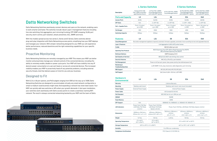# **Datto Networking Switches**

Datto Networking Switches seamlessly connect devices and users on the network, enabling users to work smarter and faster. The switches include robust Layer 2 management features including line rate switching, link aggregation, port mirroring/trunking, STP, IGMP snooping, VLAN, port security, storm control, port isolation, attack prevention, ACL, SNMP, and more.

With five models spread across two series (L Series and E Series), Datto switches deliver plug-and-play integration with Datto Networking access points, simplifying how your MSP deploys and manages your network. With simpler networking designed for your MSP, you will experience better performance, reduced downtime and the right networking capabilities for your specific business needs.

### Proactive Monitoring

Datto Networking Switches are remotely managed by your MSP. This means your MSP can better monitor and proactively manage your network and all of the connected devices, including the ability to remotely enable, disable or power cycle ports. Your MSP will have visibility into any IP device's power consumption on a per port basis or across all connected devices. This increased visibility enables your MSP to proactively head off any potential problems, including external security threats. And that delivers peace of mind for you and your business.

### Designed to Fit

With 8, 24 or 48 port options, and PoE budgets ranging from 55W all the way up to 740W, Datto Networking Switches are designed to accommodate virtually any sized network configuration a small to medium sized business might need. And expanding a network has never been easier. Your MSP can quickly add new switches or APs when your growth demands it. And upon installation, your switches work seamlessly with Datto access points to create a seamless roaming WiFi network. The result is always connected networking backed by your MSP and the team at Datto.



### **L Series Switches E Series Switches**

| <b>Description</b>                                      | Fanless 8-Port 1Gb<br>PoE+ (55W) Cloud Man-<br>aged Desktop Switch                                                            | 24-Port PoE+ (250W)<br>Cloud Managed Switch<br>with 2x1Gb SFP Uplinks | 8-Port 1Gb PoE+ (150W)<br><b>Cloud Managed Switch</b> | 24-Port 1Gb PoE+ (410W)<br>Cloud Managed Switch<br>with 2x10Gb SFP+ Uplinks | 48-Port 1Gb PoE+ (740W)<br><b>Cloud Managed Switch</b><br>with 4x1Gb SFP Uplinks |
|---------------------------------------------------------|-------------------------------------------------------------------------------------------------------------------------------|-----------------------------------------------------------------------|-------------------------------------------------------|-----------------------------------------------------------------------------|----------------------------------------------------------------------------------|
| <b>Ports and Capacity</b>                               | L8                                                                                                                            | L24                                                                   | E <sub>8</sub>                                        | E24                                                                         | E48                                                                              |
| <b>Access Ports</b>                                     | 8x1Gb                                                                                                                         | 24x1Gb                                                                | 8x1Gb                                                 | 24x1Gb                                                                      | 48x1Gb                                                                           |
| <b>SFP Slots</b>                                        | N/A                                                                                                                           | $2 \times$ SFP 1Gb                                                    | $2 \times$ SFP 1Gb                                    | $2 \times$ SFP + 10Gb                                                       | 4 x SFP 1Gb                                                                      |
| <b>PoE + Capable Ports</b>                              | Ports 1-8 output<br>up to 30W                                                                                                 | Ports 1-24 output<br>up to 30W                                        | Ports 1-8 output<br>up to 30W                         | Ports 1-24 output up<br>to 30W                                              | Ports 1-48 output up<br>to 30W                                                   |
| <b>PoE Budget</b>                                       | 55W                                                                                                                           | 250W                                                                  | <b>150W</b>                                           | 410W                                                                        | 740W                                                                             |
| <b>Switching Capacity</b>                               | 20Gbps                                                                                                                        | 52Gbps                                                                | 24Gbps                                                | 56Gbps                                                                      | 104Gbps                                                                          |
| <b>Features</b>                                         | L8                                                                                                                            | L24                                                                   | E <sub>8</sub>                                        | E24                                                                         | E48                                                                              |
| <b>Cloud Management</b>                                 | No onsite management appliance required, automatic firmware upgrades, automatic future-proofing via new and upgraded features |                                                                       |                                                       |                                                                             |                                                                                  |
| <b>Layer 2 Features</b>                                 | Link Aggregation (LAG)/LACP, jumbo frames                                                                                     |                                                                       |                                                       |                                                                             |                                                                                  |
| <b>VLANs</b>                                            | 802.10 VLANs (up to 4k)                                                                                                       |                                                                       |                                                       |                                                                             |                                                                                  |
| <b>Spanning Tree Protocol</b>                           | 802.1D Spanning Tree (STP), 802.1w Rapid Spanning Tree (RSTP).<br>802.1s Multiple Spanning Tree (MSTP)                        |                                                                       |                                                       |                                                                             |                                                                                  |
| <b>Multicast Deliverv</b>                               | IGMP Snooping v1/2/3                                                                                                          |                                                                       |                                                       |                                                                             |                                                                                  |
| <b>QoS (Quality of Service)</b>                         | 802.1p/CoS, DSCP, rate limiting, flow control                                                                                 |                                                                       |                                                       |                                                                             |                                                                                  |
| <b>Security Features</b>                                | MAC ACLs, IPv4 ACLs, port Isolation                                                                                           |                                                                       |                                                       |                                                                             |                                                                                  |
| <b>PoE Management</b>                                   | Power on/off per port, power class, power priority, User defined power limit                                                  |                                                                       |                                                       |                                                                             |                                                                                  |
| <b>Monitoring &amp;</b><br><b>Troubleshooting Tools</b> | LLDP, SNMP v1/v2c, ping, traceroute, cable diagnostics, port mirroring                                                        |                                                                       |                                                       |                                                                             |                                                                                  |
| <b>MIB Support</b>                                      | RFC1213, RFC1493, RFC1757, RFC2674                                                                                            |                                                                       |                                                       |                                                                             |                                                                                  |
| <b>VolP Support</b>                                     | QoS, Voice VLAN + OUI list, LLDP-MED                                                                                          |                                                                       |                                                       |                                                                             |                                                                                  |

| <b>Hardware &amp;</b><br><b>Environmental</b> | L <sub>8</sub>                                                    | L24                                                                                                                                               | E <sub>8</sub>                                                 | E24                                                                 | E48                                                                 |
|-----------------------------------------------|-------------------------------------------------------------------|---------------------------------------------------------------------------------------------------------------------------------------------------|----------------------------------------------------------------|---------------------------------------------------------------------|---------------------------------------------------------------------|
| Warranty                                      |                                                                   | Lifetime Warranty                                                                                                                                 |                                                                |                                                                     |                                                                     |
| <b>Mounting</b>                               | Desktop, wall mount                                               | Desktop, wall mount, rack mount (included)                                                                                                        |                                                                |                                                                     |                                                                     |
| <b>Power Supply</b>                           | <b>External Power Supply</b>                                      | Internal Power Supply                                                                                                                             |                                                                |                                                                     |                                                                     |
| <b>Power Cable</b>                            |                                                                   | US/Canada/EU/UK/AU                                                                                                                                |                                                                |                                                                     |                                                                     |
| <b>PoE Standard</b>                           | IEEE 802.3at/af up to 30W per port                                |                                                                                                                                                   |                                                                |                                                                     |                                                                     |
| <b>SDRAM</b>                                  | 256MB                                                             |                                                                                                                                                   |                                                                |                                                                     |                                                                     |
| <b>Flash Memory</b>                           | 32MB                                                              |                                                                                                                                                   |                                                                |                                                                     |                                                                     |
| <b>SFP Support</b>                            | N/A                                                               | 1000BASE-SX, 1000BASE-LX, 10GBASE-SR, 10GBASE-LR                                                                                                  |                                                                |                                                                     |                                                                     |
| <b>LED Indicators</b>                         | Power, Fault, PoE Max,<br>LAN Mode, PoE Mode,<br>Link/Act         | Power, Fault, PoE Max,<br>LAN Mode, PoE Mode,<br>Speed, Link/Act                                                                                  | Power, Fault, PoE Max, LAN Mode, PoE Mode, Speed, Link/Act     |                                                                     |                                                                     |
| <b>Dimensions</b>                             | 238.8mm x 104.1mm x<br>$27.9$ mm $(9.4" \times 4.1" \times 1.1")$ | 439.4mm x 256.5mm x<br>43.2mm (17.3" x 10.1" x 1.7")                                                                                              | 330.2mm x 228.6mm x<br>43.2mm<br>$(13" \times 9" \times 1.7")$ | 439.4mm x 309.9mm x<br>43.2mm<br>$(17.3" \times 10.2" \times 1.7")$ | 439.4mm x 408.9mm x<br>43.2mm<br>$(17.3" \times 16.1" \times 1.7")$ |
| Weight                                        | 1.37 lbs.                                                         | 7.65 lbs.                                                                                                                                         | $4.48$ lbs.                                                    | 7.65 lbs.                                                           | 13.8 lbs.                                                           |
| <b>Operating Temperature</b>                  | $0^\circ$ to $40^\circ C$<br>(32° to 104°F)                       | 0°C to 50°C<br>(32° to 122°F)                                                                                                                     | 0°C to 50°C (32° to 122°F)                                     |                                                                     |                                                                     |
| <b>Storage Temperature</b>                    |                                                                   | $-20^{\circ}$ C to 70 $^{\circ}$ C (-4 $^{\circ}$ to 158 $^{\circ}$ F)<br>$-40^{\circ}$ C to 70 $^{\circ}$ C (-40 $^{\circ}$ to 158 $^{\circ}$ F) |                                                                |                                                                     |                                                                     |
| <b>Humidity</b>                               | 5 to 95% non-condensing                                           |                                                                                                                                                   |                                                                |                                                                     |                                                                     |
| <b>Compliance Certifications</b>              | FCC Class A, IC, CE, RCM, UL                                      |                                                                                                                                                   |                                                                |                                                                     |                                                                     |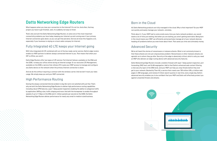# **Datto Networking Edge Routers**

What happens when you lose your connection to the Internet? It's not fun. And often, that key project you have to get finished...well, it's suddenly not easy to finish.

That's why we built the Datto Networking Edge Routers, to solve one of the most important connectivity problems you face today: keeping your Internet up and running even if your primary Internet connection goes down, so you can get that job done. And we all know this happens a lot, especially if your business is relying on a local cable company for Internet.

### Fully Integrated 4G LTE keeps your Internet going

With fully integrated 4G LTE combined with out of the box ready carrier service, Datto's edge routers enable our MSP partners to deliver always connected Internet to you. That means that when your ISP is offline, you aren't.

Datto Edge Routers offer two types of LTE service: Full Internet failover, available on the DNA and the D200, to keep your office online during an Internet outage. Or our exclusive LTE Management, available on the D200, a service that utilizes LTE to give your MSP access to manage and configure any Datto device on the network when the primary Internet connection is down.

And we do this without requiring a contract with the wireless carrier. And we don't track your data usage. We simply keep you and your MSP connected.

### High Performance Routing

Solving the always connected Internet problem is big. But we're not satisfied with just that. That's why we built the Datto Networking Edge Routers to deliver high performance routing capabilities including robust VPN features, Layer 7 deep packet inspection enabling the ability to categorize traffic by application, NATing rules, traffic shaping and more. And with the horsepower to enable throughput speeds of up to 1.7 Gbps on the DNA and 2+ million packets per second on the D200, the Datto Networking Edge Routers deliver performance for nearly any small to medium sized business.

### Born in the Cloud

All Datto Networking products are fully managed in the cloud. Why is that important? So your MSP can quickly and easily manage your network...remotely.

Think about it. If your MSP had to come onsite every time you had a network problem, you would waste a lot of time just waiting. And when you are waiting, you aren't getting work done. Being born in the cloud means your MSP can efficiently and proactively manage all of your network devices, heading off problems before you even know about them. That saves you time and ultimately money.

### Advanced Security

We've all heard the stories of ransomware or malware attacks. What is not commonly known is that these attacks are not just a big business problem. Ransomware or other malware attacks are agnostic as to whom they go after. Security at the edge is absolutely critical, which is why you need an MSP who delivers an edge routing device with advanced security features.

Datto Networking Edge Routers include a stateful firewall with layer 7 deep packet inspection, port forwarding, DMZ host, and VLAN segregation. Add to that Datto's enhanced web content filtering, a vital security layer at the DNS level, and your MSP can help you stop threats before they ever get to your network. Backed by Titan HQ, a service that crawls over 700 million URLs, 6 billion web pages in 200 languages, and reviews 5 trillion search queries in real time, every single day, Datto's advanced security enables you to be confident that your MSP and Datto will effectively protect you against unwanted threats and attacks.



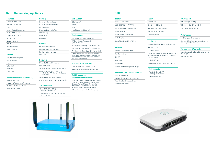### **Datto Networking Appliance**

### **Features**

Alerts & Notifications RMM/PSA Integration IPv4 Layer 7 Traffic Management Hosted VoIP Support Supports up to 8 VLANS APT Blocker Network Discovery PPPoE Port Aggregation

### Traffic Shaping

### **Firewall**

| Stateful Packet Inspection |
|----------------------------|
| Port Forwarding            |
| $1:1$ NAT                  |
| 1:Many NAT                 |
| DM7 Host                   |
| Layer 7 DPI                |

### **Enhanced Web Content Filtering**

| <b>DNS Security Layer</b>       |
|---------------------------------|
| Malware & Ransomware Protection |

Real-time Continuous Updates

Web Content Control

| <b>Security</b>                                              | <b>VPN</b>                                 |
|--------------------------------------------------------------|--------------------------------------------|
| <b>Intrusion Detection System</b>                            | SSL (                                      |
| <b>Intrusion Prevention System</b>                           | IKE <sub>v2</sub>                          |
| Port Scanning                                                | <b>IPSec</b>                               |
| Signature-based Rule Files                                   | Hub 8                                      |
| <b>Web Filtering</b>                                         |                                            |
| Whitelisting                                                 | Perf                                       |
| Ad Blocker                                                   | 250,0                                      |
|                                                              | 1.7 <sub>6b</sub>                          |
| <b>Failover</b>                                              | (1, 518)                                   |
| <b>Bundled 4G LTE Service</b>                                | 661 M                                      |
| No Carrier Contract Required                                 | 569 M                                      |
| No Charges for Overages                                      | 730 M                                      |
| <b>WAN Failover</b>                                          | *IMIX (d<br>traffic<br>and is i<br>flow in |
| <b>Hardware</b>                                              |                                            |
| 8 Core 2.4GHz Intel Processor                                | Man                                        |
| 8 GB DDR3 RAM                                                | Cloud                                      |
| 32 GB Industrial Compact Flash Hard Drive                    | 3 Yea                                      |
| 6 Built-in 10/100/1000 Ethernet Ports                        |                                            |
| - 2 Dedicated WAN Ports, 4 Configurable<br><b>VLAN Ports</b> | <b>Sold</b>                                |
| 3x3 MIMO 802.11 AC WiFi 2.4/5GHz                             | in th                                      |
| Fully Integrated Multi-band Cat4 Radio (LTE)                 | USA,                                       |
|                                                              | Scotl                                      |
| <b>Environmental</b>                                         | Engla<br><b>Nethe</b>                      |
| 0° to 40°C (32° to 104°F)<br><b>Operating Temperature</b>    | Roma<br>**For s                            |

Dimensions: 231mm x 197mm x 44mm (9.09" x 7.76" x 1.73")



### **in the following locations**

Puerto Rico, US Virgin Islands, Canada, land, Ireland, Northern Ireland, Wales, and, Portugal, Spain, Germany, Italy, erlands, Czech Republic, Hungary, ania, Greece, Albania, Montenegro\*\*

specifc coverage, see the DNA Coverage Map

### **D200**

| <b>Features</b>                       | <b>Failover</b>                         |
|---------------------------------------|-----------------------------------------|
| <b>Alerts &amp; Notifications</b>     | <b>LTE Failover</b>                     |
| WAN DHCP/Static IP/ PPPoE             | Bundled 4G LTE Ser                      |
| Hardware network accelearation        | No Carrier Contract                     |
| <b>Traffic Shaping</b>                | No Charges for Ove                      |
| Layer 7 Traffic Management            | LTE Management                          |
| <b>VLAN tagging</b>                   |                                         |
| Up to 5 Combined LANs/VLANs           | <b>Hardware</b>                         |
|                                       | Mediatek 7623A qua                      |
| <b>Firewall</b>                       | 1GB DDR3 RAM                            |
| Stateful Packet Inspection            | 4GB eMMC Flash                          |
| Port Forwarding                       | 5 built-in 10/100/100                   |
| $1:1$ NAT                             | Port, 4 configurable<br>sive PoE ports) |
| 1:Many NAT                            | 1 built-in SFP port                     |
| Layer 7 DPI                           | Fully Integrated Mu                     |
| Custom traffic rules (port blocking)  |                                         |
|                                       | <b>Environmental</b>                    |
| <b>Enhanced Web Content Filtering</b> | 0° to 40°C (32° to<br>Operating Temper  |
| <b>DNS Security Layer</b>             |                                         |
| Malware & Ransomware Protection       | Dimensions: 7.9" x                      |
| Real-time Continuous Updates          |                                         |
| <b>Web Content Control</b>            |                                         |



ervice

**nct Required** 

erages

**VPN Support**

VPN Server (Open VPN)

VPN Site-to-Site (IPSec, IKEv2)

Hub & Spoke (multi-router)

### **Performance**

2+ Million packets per second

Line rate (1 Gbps) routing. Varies based on traffic type and packet size.

uad-core ARM processor

### **Management & Warranty**

000 Ethernet Ports: 1 WAN le LAN Ports (2 24V PasFully integrated into Datto Cloud portal and mobile app

Lifetime Warranty

Iulti-band Cat4 Radio (LTE)

 $0.104$ °F) erature  $\times$  4.7"